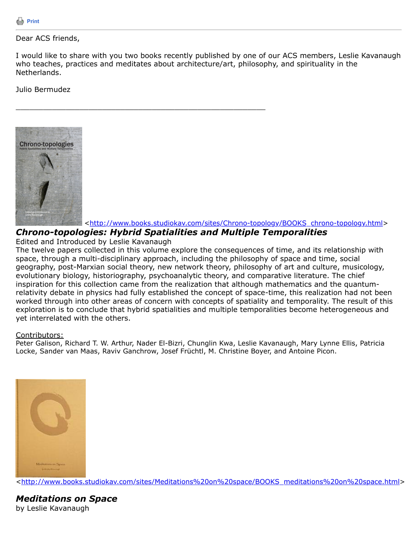# Dear ACS friends,

I would like to share with you two books recently published by one of our ACS members, Leslie Kavanaugh who teaches, practices and meditates about architecture/art, philosophy, and spirituality in the Netherlands.

# Julio Bermudez



[<http://www.books.studiokav.com/sites/Chrono-topology/BOOKS\\_chrono-topology.html>](http://www.books.studiokav.com/sites/Chrono-topology/BOOKS_chrono-topology.html)

# *Chrono-topologies: Hybrid Spatialities and Multiple Temporalities*

\_\_\_\_\_\_\_\_\_\_\_\_\_\_\_\_\_\_\_\_\_\_\_\_\_\_\_\_\_\_\_\_\_\_\_\_\_\_\_\_\_\_\_\_\_\_\_\_\_\_\_\_\_\_\_

## Edited and Introduced by Leslie Kavanaugh

The twelve papers collected in this volume explore the consequences of time, and its relationship with space, through a multi-disciplinary approach, including the philosophy of space and time, social geography, post-Marxian social theory, new network theory, philosophy of art and culture, musicology, evolutionary biology, historiography, psychoanalytic theory, and comparative literature. The chief inspiration for this collection came from the realization that although mathematics and the quantumrelativity debate in physics had fully established the concept of space-time, this realization had not been worked through into other areas of concern with concepts of spatiality and temporality. The result of this exploration is to conclude that hybrid spatialities and multiple temporalities become heterogeneous and yet interrelated with the others.

## Contributors:

Peter Galison, Richard T. W. Arthur, Nader El-Bizri, Chunglin Kwa, Leslie Kavanaugh, Mary Lynne Ellis, Patricia Locke, Sander van Maas, Raviv Ganchrow, Josef Früchtl, M. Christine Boyer, and Antoine Picon.



[<http://www.books.studiokav.com/sites/Meditations%20on%20space/BOOKS\\_meditations%20on%20space.html>](http://www.books.studiokav.com/sites/Meditations%20on%20space/BOOKS_meditations%20on%20space.html)

# *Meditations on Space* by Leslie Kavanaugh